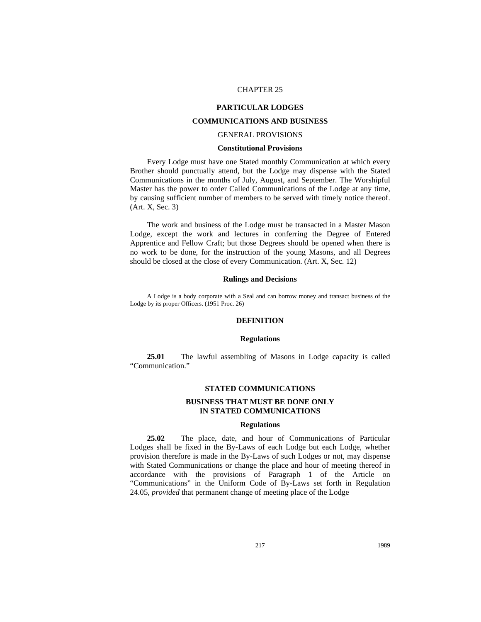### CHAPTER 25

## **PARTICULAR LODGES**

# **COMMUNICATIONS AND BUSINESS**

# GENERAL PROVISIONS

#### **Constitutional Provisions**

Every Lodge must have one Stated monthly Communication at which every Brother should punctually attend, but the Lodge may dispense with the Stated Communications in the months of July, August, and September. The Worshipful Master has the power to order Called Communications of the Lodge at any time, by causing sufficient number of members to be served with timely notice thereof. (Art. X, Sec. 3)

The work and business of the Lodge must be transacted in a Master Mason Lodge, except the work and lectures in conferring the Degree of Entered Apprentice and Fellow Craft; but those Degrees should be opened when there is no work to be done, for the instruction of the young Masons, and all Degrees should be closed at the close of every Communication. (Art. X, Sec. 12)

### **Rulings and Decisions**

A Lodge is a body corporate with a Seal and can borrow money and transact business of the Lodge by its proper Officers. (1951 Proc. 26)

### **DEFINITION**

#### **Regulations**

**25.01** The lawful assembling of Masons in Lodge capacity is called "Communication."

## **STATED COMMUNICATIONS**

## **BUSINESS THAT MUST BE DONE ONLY IN STATED COMMUNICATIONS**

#### **Regulations**

**25.02** The place, date, and hour of Communications of Particular Lodges shall be fixed in the By-Laws of each Lodge but each Lodge, whether provision therefore is made in the By-Laws of such Lodges or not, may dispense with Stated Communications or change the place and hour of meeting thereof in accordance with the provisions of Paragraph 1 of the Article on "Communications" in the Uniform Code of By-Laws set forth in Regulation 24.05, *provided* that permanent change of meeting place of the Lodge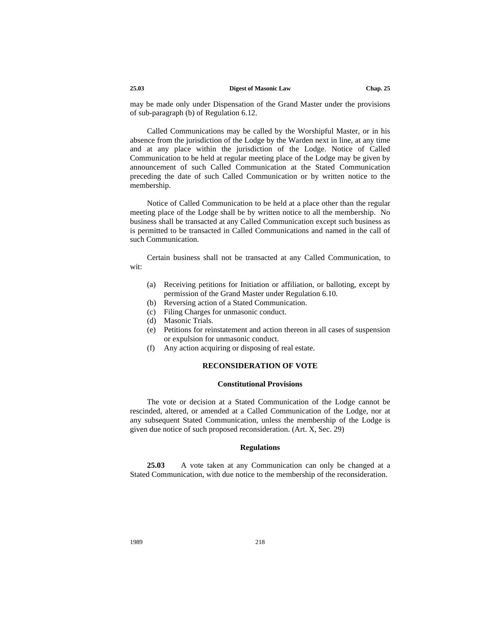#### **25.03 Digest of Masonic Law Chap. 25**

may be made only under Dispensation of the Grand Master under the provisions of sub-paragraph (b) of Regulation 6.12.

Called Communications may be called by the Worshipful Master, or in his absence from the jurisdiction of the Lodge by the Warden next in line, at any time and at any place within the jurisdiction of the Lodge. Notice of Called Communication to be held at regular meeting place of the Lodge may be given by announcement of such Called Communication at the Stated Communication preceding the date of such Called Communication or by written notice to the membership.

Notice of Called Communication to be held at a place other than the regular meeting place of the Lodge shall be by written notice to all the membership. No business shall be transacted at any Called Communication except such business as is permitted to be transacted in Called Communications and named in the call of such Communication.

Certain business shall not be transacted at any Called Communication, to wit:

- (a) Receiving petitions for Initiation or affiliation, or balloting, except by permission of the Grand Master under Regulation 6.10.
- (b) Reversing action of a Stated Communication.
- (c) Filing Charges for unmasonic conduct.
- (d) Masonic Trials.
- (e) Petitions for reinstatement and action thereon in all cases of suspension or expulsion for unmasonic conduct.
- (f) Any action acquiring or disposing of real estate.

### **RECONSIDERATION OF VOTE**

## **Constitutional Provisions**

The vote or decision at a Stated Communication of the Lodge cannot be rescinded, altered, or amended at a Called Communication of the Lodge, nor at any subsequent Stated Communication, unless the membership of the Lodge is given due notice of such proposed reconsideration. (Art. X, Sec. 29)

#### **Regulations**

**25.03** A vote taken at any Communication can only be changed at a Stated Communication, with due notice to the membership of the reconsideration.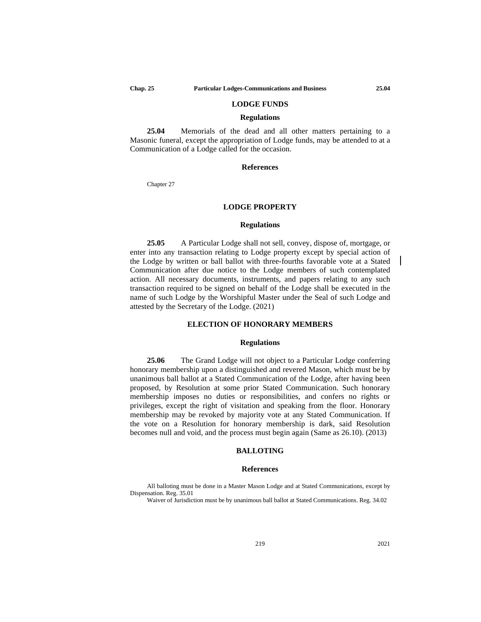### **LODGE FUNDS**

#### **Regulations**

**25.04** Memorials of the dead and all other matters pertaining to a Masonic funeral, except the appropriation of Lodge funds, may be attended to at a Communication of a Lodge called for the occasion.

### **References**

Chapter 27

### **LODGE PROPERTY**

#### **Regulations**

**25.05** A Particular Lodge shall not sell, convey, dispose of, mortgage, or enter into any transaction relating to Lodge property except by special action of the Lodge by written or ball ballot with three-fourths favorable vote at a Stated Communication after due notice to the Lodge members of such contemplated action. All necessary documents, instruments, and papers relating to any such transaction required to be signed on behalf of the Lodge shall be executed in the name of such Lodge by the Worshipful Master under the Seal of such Lodge and attested by the Secretary of the Lodge. (2021)

## **ELECTION OF HONORARY MEMBERS**

### **Regulations**

**25.06** The Grand Lodge will not object to a Particular Lodge conferring honorary membership upon a distinguished and revered Mason, which must be by unanimous ball ballot at a Stated Communication of the Lodge, after having been proposed, by Resolution at some prior Stated Communication. Such honorary membership imposes no duties or responsibilities, and confers no rights or privileges, except the right of visitation and speaking from the floor. Honorary membership may be revoked by majority vote at any Stated Communication. If the vote on a Resolution for honorary membership is dark, said Resolution becomes null and void, and the process must begin again (Same as 26.10). (2013)

#### **BALLOTING**

### **References**

All balloting must be done in a Master Mason Lodge and at Stated Communications, except by Dispensation. Reg. 35.01

Waiver of Jurisdiction must be by unanimous ball ballot at Stated Communications. Reg. 34.02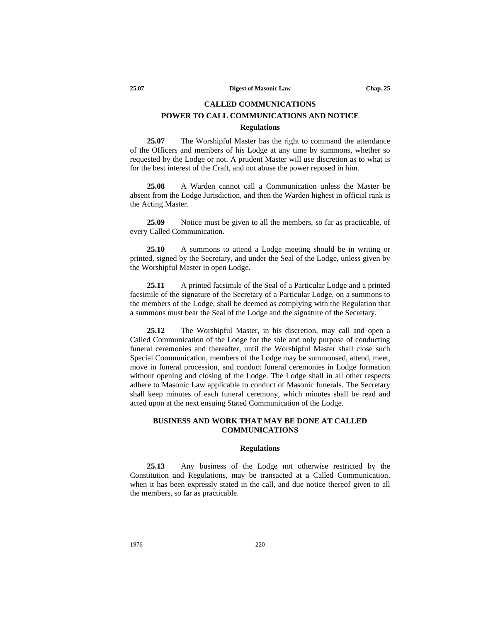# **CALLED COMMUNICATIONS POWER TO CALL COMMUNICATIONS AND NOTICE**

#### **Regulations**

**25.07** The Worshipful Master has the right to command the attendance of the Officers and members of his Lodge at any time by summons, whether so requested by the Lodge or not. A prudent Master will use discretion as to what is for the best interest of the Craft, and not abuse the power reposed in him.

**25.08** A Warden cannot call a Communication unless the Master be absent from the Lodge Jurisdiction, and then the Warden highest in official rank is the Acting Master.

**25.09** Notice must be given to all the members, so far as practicable, of every Called Communication.

**25.10** A summons to attend a Lodge meeting should be in writing or printed, signed by the Secretary, and under the Seal of the Lodge, unless given by the Worshipful Master in open Lodge.

**25.11** A printed facsimile of the Seal of a Particular Lodge and a printed facsimile of the signature of the Secretary of a Particular Lodge, on a summons to the members of the Lodge, shall be deemed as complying with the Regulation that a summons must bear the Seal of the Lodge and the signature of the Secretary.

**25.12** The Worshipful Master, in his discretion, may call and open a Called Communication of the Lodge for the sole and only purpose of conducting funeral ceremonies and thereafter, until the Worshipful Master shall close such Special Communication, members of the Lodge may be summonsed, attend, meet, move in funeral procession, and conduct funeral ceremonies in Lodge formation without opening and closing of the Lodge. The Lodge shall in all other respects adhere to Masonic Law applicable to conduct of Masonic funerals. The Secretary shall keep minutes of each funeral ceremony, which minutes shall be read and acted upon at the next ensuing Stated Communication of the Lodge.

## **BUSINESS AND WORK THAT MAY BE DONE AT CALLED COMMUNICATIONS**

### **Regulations**

**25.13** Any business of the Lodge not otherwise restricted by the Constitution and Regulations, may be transacted at a Called Communication, when it has been expressly stated in the call, and due notice thereof given to all the members, so far as practicable.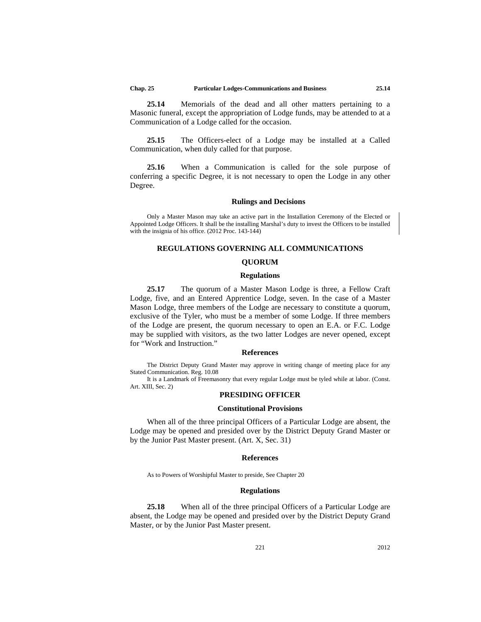**25.14** Memorials of the dead and all other matters pertaining to a Masonic funeral, except the appropriation of Lodge funds, may be attended to at a Communication of a Lodge called for the occasion.

**25.15** The Officers-elect of a Lodge may be installed at a Called Communication, when duly called for that purpose.

**25.16** When a Communication is called for the sole purpose of conferring a specific Degree, it is not necessary to open the Lodge in any other Degree.

#### **Rulings and Decisions**

Only a Master Mason may take an active part in the Installation Ceremony of the Elected or Appointed Lodge Officers. It shall be the installing Marshal's duty to invest the Officers to be installed with the insignia of his office. (2012 Proc. 143-144)

### **REGULATIONS GOVERNING ALL COMMUNICATIONS**

## **QUORUM**

#### **Regulations**

**25.17** The quorum of a Master Mason Lodge is three, a Fellow Craft Lodge, five, and an Entered Apprentice Lodge, seven. In the case of a Master Mason Lodge, three members of the Lodge are necessary to constitute a quorum, exclusive of the Tyler, who must be a member of some Lodge. If three members of the Lodge are present, the quorum necessary to open an E.A. or F.C. Lodge may be supplied with visitors, as the two latter Lodges are never opened, except for "Work and Instruction."

#### **References**

The District Deputy Grand Master may approve in writing change of meeting place for any Stated Communication. Reg. 10.08

It is a Landmark of Freemasonry that every regular Lodge must be tyled while at labor. (Const. Art. XIII, Sec. 2)

## **PRESIDING OFFICER**

### **Constitutional Provisions**

When all of the three principal Officers of a Particular Lodge are absent, the Lodge may be opened and presided over by the District Deputy Grand Master or by the Junior Past Master present. (Art. X, Sec. 31)

### **References**

As to Powers of Worshipful Master to preside, See Chapter 20

#### **Regulations**

**25.18** When all of the three principal Officers of a Particular Lodge are absent, the Lodge may be opened and presided over by the District Deputy Grand Master, or by the Junior Past Master present.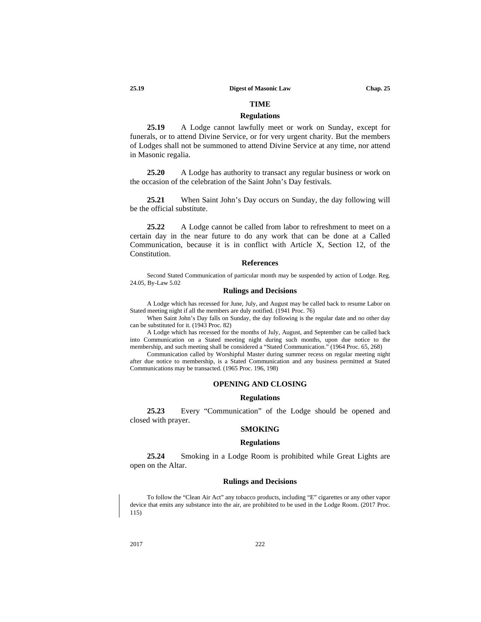# **TIME**

## **Regulations**

**25.19** A Lodge cannot lawfully meet or work on Sunday, except for funerals, or to attend Divine Service, or for very urgent charity. But the members of Lodges shall not be summoned to attend Divine Service at any time, nor attend in Masonic regalia.

**25.20** A Lodge has authority to transact any regular business or work on the occasion of the celebration of the Saint John's Day festivals.

**25.21** When Saint John's Day occurs on Sunday, the day following will be the official substitute.

**25.22** A Lodge cannot be called from labor to refreshment to meet on a certain day in the near future to do any work that can be done at a Called Communication, because it is in conflict with Article X, Section 12, of the Constitution.

#### **References**

Second Stated Communication of particular month may be suspended by action of Lodge. Reg. 24.05, By-Law 5.02

#### **Rulings and Decisions**

A Lodge which has recessed for June, July, and August may be called back to resume Labor on Stated meeting night if all the members are duly notified. (1941 Proc. 76)

When Saint John's Day falls on Sunday, the day following is the regular date and no other day can be substituted for it. (1943 Proc. 82)

A Lodge which has recessed for the months of July, August, and September can be called back into Communication on a Stated meeting night during such months, upon due notice to the membership, and such meeting shall be considered a "Stated Communication." (1964 Proc. 65, 268)

Communication called by Worshipful Master during summer recess on regular meeting night after due notice to membership, is a Stated Communication and any business permitted at Stated Communications may be transacted. (1965 Proc. 196, 198)

### **OPENING AND CLOSING**

#### **Regulations**

**25.23** Every "Communication" of the Lodge should be opened and closed with prayer.

### **SMOKING**

#### **Regulations**

**25.24** Smoking in a Lodge Room is prohibited while Great Lights are open on the Altar.

### **Rulings and Decisions**

To follow the "Clean Air Act" any tobacco products, including "E" cigarettes or any other vapor device that emits any substance into the air, are prohibited to be used in the Lodge Room. (2017 Proc. 115)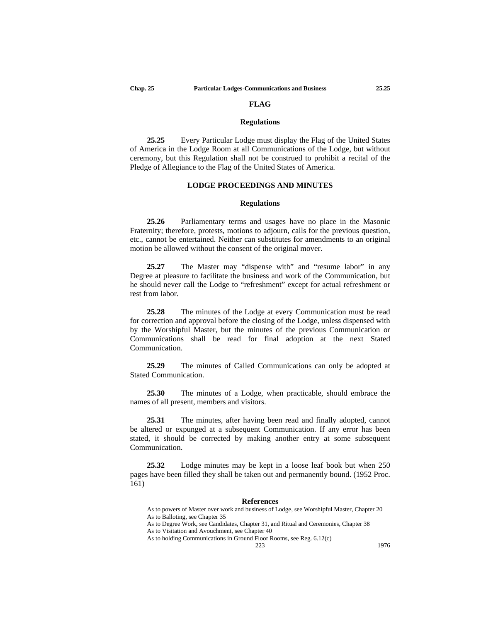### **FLAG**

#### **Regulations**

**25.25** Every Particular Lodge must display the Flag of the United States of America in the Lodge Room at all Communications of the Lodge, but without ceremony, but this Regulation shall not be construed to prohibit a recital of the Pledge of Allegiance to the Flag of the United States of America.

### **LODGE PROCEEDINGS AND MINUTES**

#### **Regulations**

**25.26** Parliamentary terms and usages have no place in the Masonic Fraternity; therefore, protests, motions to adjourn, calls for the previous question, etc., cannot be entertained. Neither can substitutes for amendments to an original motion be allowed without the consent of the original mover.

**25.27** The Master may "dispense with" and "resume labor" in any Degree at pleasure to facilitate the business and work of the Communication, but he should never call the Lodge to "refreshment" except for actual refreshment or rest from labor.

**25.28** The minutes of the Lodge at every Communication must be read for correction and approval before the closing of the Lodge, unless dispensed with by the Worshipful Master, but the minutes of the previous Communication or Communications shall be read for final adoption at the next Stated Communication.

**25.29** The minutes of Called Communications can only be adopted at Stated Communication.

**25.30** The minutes of a Lodge, when practicable, should embrace the names of all present, members and visitors.

**25.31** The minutes, after having been read and finally adopted, cannot be altered or expunged at a subsequent Communication. If any error has been stated, it should be corrected by making another entry at some subsequent Communication.

**25.32** Lodge minutes may be kept in a loose leaf book but when 250 pages have been filled they shall be taken out and permanently bound. (1952 Proc. 161)

#### **References**

As to powers of Master over work and business of Lodge, see Worshipful Master, Chapter 20 As to Balloting, see Chapter 35

As to Degree Work, see Candidates, Chapter 31, and Ritual and Ceremonies, Chapter 38 As to Visitation and Avouchment, see Chapter 40

As to holding Communications in Ground Floor Rooms, see Reg. 6.12(c)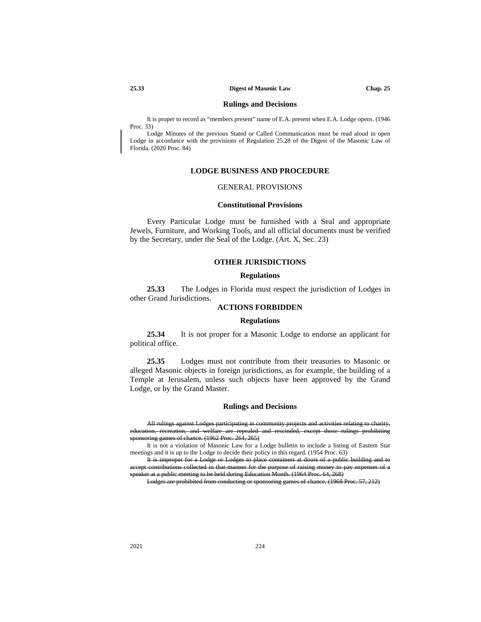#### **Rulings and Decisions**

It is proper to record as "members present" name of E.A. present when E.A. Lodge opens. (1946 Proc. 33)

Lodge Minutes of the previous Stated or Called Communication must be read aloud in open Lodge in accordance with the provisions of Regulation 25.28 of the Digest of the Masonic Law of Florida. (2020 Proc. 84)

## **LODGE BUSINESS AND PROCEDURE**

## GENERAL PROVISIONS

### **Constitutional Provisions**

Every Particular Lodge must be furnished with a Seal and appropriate Jewels, Furniture, and Working Tools, and all official documents must be verified by the Secretary, under the Seal of the Lodge. (Art. X, Sec. 23)

## **OTHER JURISDICTIONS**

#### **Regulations**

**25.33** The Lodges in Florida must respect the jurisdiction of Lodges in other Grand Jurisdictions.

## **ACTIONS FORBIDDEN**

### **Regulations**

**25.34** It is not proper for a Masonic Lodge to endorse an applicant for political office.

**25.35** Lodges must not contribute from their treasuries to Masonic or alleged Masonic objects in foreign jurisdictions, as for example, the building of a Temple at Jerusalem, unless such objects have been approved by the Grand Lodge, or by the Grand Master.

#### **Rulings and Decisions**

All rulings against Lodges participating in community projects and activities relating to charity, ation, recreation, and welfare are repealed and rescinded, except those rulings prohibiting  $\frac{1}{100}$  spans of chance. (1962 Proc. 264, 265)

It is not a violation of Masonic Law for a Lodge bulletin to include a listing of Eastern Star meetings and it is up to the Lodge to decide their policy in this regard. (1954 Proc. 63)

It is improper for a Lodge or Lodges to place containers at doors of a publiaccept contributions collected in that manner for the purpose of raising money to pay expenses of a er at a public meeting to be held during Education Month. (1964 Proc. 64, 268)<br>Lodges are prohibited from conducting or sponsoring games of chance. (1968 P

Lodges are prohibited from conducting or sponsoring games of chance. (1968 Proc. 57, 212)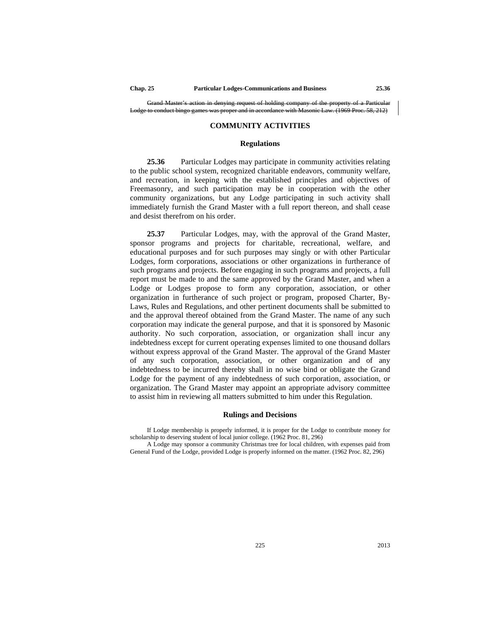Grand Master's action in denying request of holding company of the property of a Particular<br>to conduct bingo games was proper and in accordance with Masonic Law (1969 Proc. 58, 212) to conduct bingo games was proper and in accordance

### **COMMUNITY ACTIVITIES**

#### **Regulations**

**25.36** Particular Lodges may participate in community activities relating to the public school system, recognized charitable endeavors, community welfare, and recreation, in keeping with the established principles and objectives of Freemasonry, and such participation may be in cooperation with the other community organizations, but any Lodge participating in such activity shall immediately furnish the Grand Master with a full report thereon, and shall cease and desist therefrom on his order.

**25.37** Particular Lodges, may, with the approval of the Grand Master, sponsor programs and projects for charitable, recreational, welfare, and educational purposes and for such purposes may singly or with other Particular Lodges, form corporations, associations or other organizations in furtherance of such programs and projects. Before engaging in such programs and projects, a full report must be made to and the same approved by the Grand Master, and when a Lodge or Lodges propose to form any corporation, association, or other organization in furtherance of such project or program, proposed Charter, By-Laws, Rules and Regulations, and other pertinent documents shall be submitted to and the approval thereof obtained from the Grand Master. The name of any such corporation may indicate the general purpose, and that it is sponsored by Masonic authority. No such corporation, association, or organization shall incur any indebtedness except for current operating expenses limited to one thousand dollars without express approval of the Grand Master. The approval of the Grand Master of any such corporation, association, or other organization and of any indebtedness to be incurred thereby shall in no wise bind or obligate the Grand Lodge for the payment of any indebtedness of such corporation, association, or organization. The Grand Master may appoint an appropriate advisory committee to assist him in reviewing all matters submitted to him under this Regulation.

#### **Rulings and Decisions**

If Lodge membership is properly informed, it is proper for the Lodge to contribute money for scholarship to deserving student of local junior college. (1962 Proc. 81, 296)

A Lodge may sponsor a community Christmas tree for local children, with expenses paid from General Fund of the Lodge, provided Lodge is properly informed on the matter. (1962 Proc. 82, 296)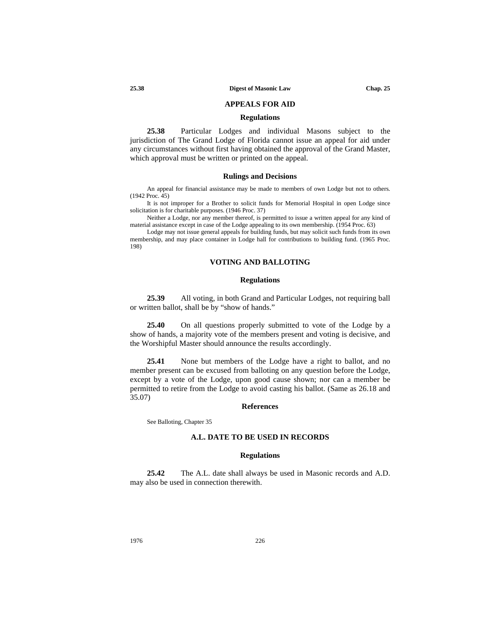## **APPEALS FOR AID**

#### **Regulations**

**25.38** Particular Lodges and individual Masons subject to the jurisdiction of The Grand Lodge of Florida cannot issue an appeal for aid under any circumstances without first having obtained the approval of the Grand Master, which approval must be written or printed on the appeal.

#### **Rulings and Decisions**

An appeal for financial assistance may be made to members of own Lodge but not to others. (1942 Proc. 45)

It is not improper for a Brother to solicit funds for Memorial Hospital in open Lodge since solicitation is for charitable purposes. (1946 Proc. 37)

Neither a Lodge, nor any member thereof, is permitted to issue a written appeal for any kind of material assistance except in case of the Lodge appealing to its own membership. (1954 Proc. 63)

Lodge may not issue general appeals for building funds, but may solicit such funds from its own membership, and may place container in Lodge hall for contributions to building fund. (1965 Proc. 198)

### **VOTING AND BALLOTING**

### **Regulations**

**25.39** All voting, in both Grand and Particular Lodges, not requiring ball or written ballot, shall be by "show of hands."

**25.40** On all questions properly submitted to vote of the Lodge by a show of hands, a majority vote of the members present and voting is decisive, and the Worshipful Master should announce the results accordingly.

**25.41** None but members of the Lodge have a right to ballot, and no member present can be excused from balloting on any question before the Lodge, except by a vote of the Lodge, upon good cause shown; nor can a member be permitted to retire from the Lodge to avoid casting his ballot. (Same as 26.18 and 35.07)

## **References**

See Balloting, Chapter 35

### **A.L. DATE TO BE USED IN RECORDS**

### **Regulations**

**25.42** The A.L. date shall always be used in Masonic records and A.D. may also be used in connection therewith.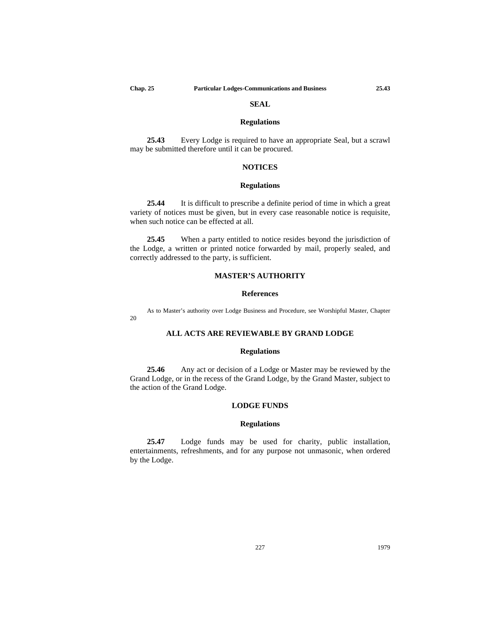$20$ 

# **SEAL**

#### **Regulations**

**25.43** Every Lodge is required to have an appropriate Seal, but a scrawl may be submitted therefore until it can be procured.

## **NOTICES**

### **Regulations**

**25.44** It is difficult to prescribe a definite period of time in which a great variety of notices must be given, but in every case reasonable notice is requisite, when such notice can be effected at all.

**25.45** When a party entitled to notice resides beyond the jurisdiction of the Lodge, a written or printed notice forwarded by mail, properly sealed, and correctly addressed to the party, is sufficient.

## **MASTER'S AUTHORITY**

### **References**

As to Master's authority over Lodge Business and Procedure, see Worshipful Master, Chapter

# **ALL ACTS ARE REVIEWABLE BY GRAND LODGE**

### **Regulations**

**25.46** Any act or decision of a Lodge or Master may be reviewed by the Grand Lodge, or in the recess of the Grand Lodge, by the Grand Master, subject to the action of the Grand Lodge.

## **LODGE FUNDS**

### **Regulations**

**25.47** Lodge funds may be used for charity, public installation, entertainments, refreshments, and for any purpose not unmasonic, when ordered by the Lodge.